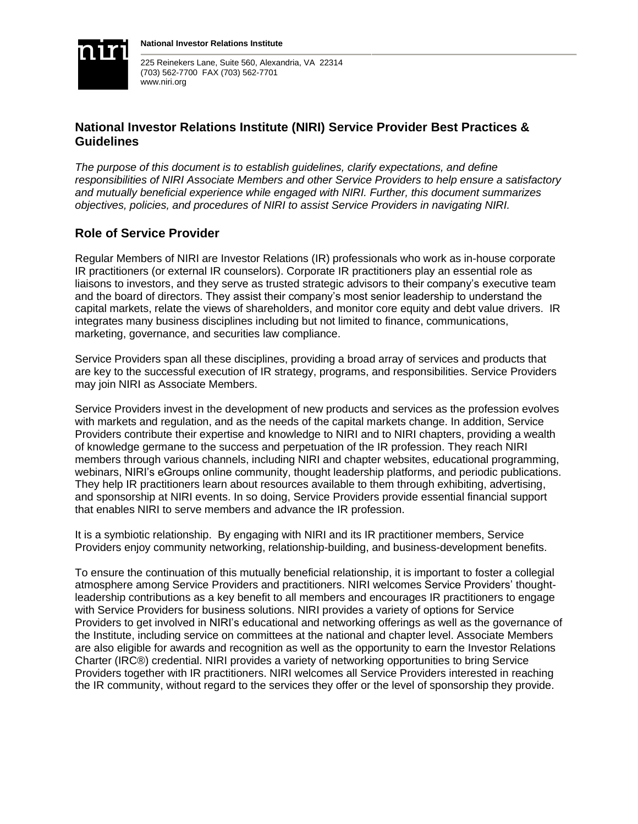

225 Reinekers Lane, Suite 560, Alexandria, VA 22314 (703) 562-7700 FAX (703) 562-7701 www.niri.org

# **National Investor Relations Institute (NIRI) Service Provider Best Practices & Guidelines**

*The purpose of this document is to establish guidelines, clarify expectations, and define responsibilities of NIRI Associate Members and other Service Providers to help ensure a satisfactory and mutually beneficial experience while engaged with NIRI. Further, this document summarizes objectives, policies, and procedures of NIRI to assist Service Providers in navigating NIRI.* 

# **Role of Service Provider**

Regular Members of NIRI are Investor Relations (IR) professionals who work as in-house corporate IR practitioners (or external IR counselors). Corporate IR practitioners play an essential role as liaisons to investors, and they serve as trusted strategic advisors to their company's executive team and the board of directors. They assist their company's most senior leadership to understand the capital markets, relate the views of shareholders, and monitor core equity and debt value drivers. IR integrates many business disciplines including but not limited to finance, communications, marketing, governance, and securities law compliance.

Service Providers span all these disciplines, providing a broad array of services and products that are key to the successful execution of IR strategy, programs, and responsibilities. Service Providers may join NIRI as Associate Members.

Service Providers invest in the development of new products and services as the profession evolves with markets and regulation, and as the needs of the capital markets change. In addition, Service Providers contribute their expertise and knowledge to NIRI and to NIRI chapters, providing a wealth of knowledge germane to the success and perpetuation of the IR profession. They reach NIRI members through various channels, including NIRI and chapter websites, educational programming, webinars, NIRI's eGroups online community, thought leadership platforms, and periodic publications. They help IR practitioners learn about resources available to them through exhibiting, advertising, and sponsorship at NIRI events. In so doing, Service Providers provide essential financial support that enables NIRI to serve members and advance the IR profession.

It is a symbiotic relationship. By engaging with NIRI and its IR practitioner members, Service Providers enjoy community networking, relationship-building, and business-development benefits.

To ensure the continuation of this mutually beneficial relationship, it is important to foster a collegial atmosphere among Service Providers and practitioners. NIRI welcomes Service Providers' thoughtleadership contributions as a key benefit to all members and encourages IR practitioners to engage with Service Providers for business solutions. NIRI provides a variety of options for Service Providers to get involved in NIRI's educational and networking offerings as well as the governance of the Institute, including service on committees at the national and chapter level. Associate Members are also eligible for awards and recognition as well as the opportunity to earn the Investor Relations Charter (IRC®) credential. NIRI provides a variety of networking opportunities to bring Service Providers together with IR practitioners. NIRI welcomes all Service Providers interested in reaching the IR community, without regard to the services they offer or the level of sponsorship they provide.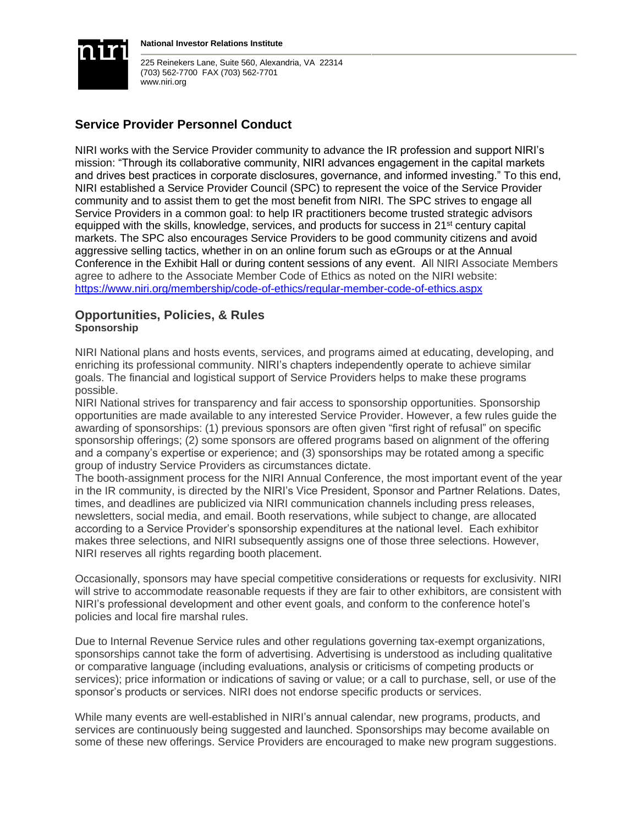

**National Investor Relations Institute**

225 Reinekers Lane, Suite 560, Alexandria, VA 22314 (703) 562-7700 FAX (703) 562-7701 www.niri.org

# **Service Provider Personnel Conduct**

NIRI works with the Service Provider community to advance the IR profession and support NIRI's mission: "Through its collaborative community, NIRI advances engagement in the capital markets and drives best practices in corporate disclosures, governance, and informed investing." To this end, NIRI established a Service Provider Council (SPC) to represent the voice of the Service Provider community and to assist them to get the most benefit from NIRI. The SPC strives to engage all Service Providers in a common goal: to help IR practitioners become trusted strategic advisors equipped with the skills, knowledge, services, and products for success in  $21<sup>st</sup>$  century capital markets. The SPC also encourages Service Providers to be good community citizens and avoid aggressive selling tactics, whether in on an online forum such as eGroups or at the Annual Conference in the Exhibit Hall or during content sessions of any event. All NIRI Associate Members agree to adhere to the Associate Member Code of Ethics as noted on the NIRI website: <https://www.niri.org/membership/code-of-ethics/regular-member-code-of-ethics.aspx>

## **Opportunities, Policies, & Rules Sponsorship**

NIRI National plans and hosts events, services, and programs aimed at educating, developing, and enriching its professional community. NIRI's chapters independently operate to achieve similar goals. The financial and logistical support of Service Providers helps to make these programs possible.

NIRI National strives for transparency and fair access to sponsorship opportunities. Sponsorship opportunities are made available to any interested Service Provider. However, a few rules guide the awarding of sponsorships: (1) previous sponsors are often given "first right of refusal" on specific sponsorship offerings; (2) some sponsors are offered programs based on alignment of the offering and a company's expertise or experience; and (3) sponsorships may be rotated among a specific group of industry Service Providers as circumstances dictate.

The booth-assignment process for the NIRI Annual Conference, the most important event of the year in the IR community, is directed by the NIRI's Vice President, Sponsor and Partner Relations. Dates, times, and deadlines are publicized via NIRI communication channels including press releases, newsletters, social media, and email. Booth reservations, while subject to change, are allocated according to a Service Provider's sponsorship expenditures at the national level. Each exhibitor makes three selections, and NIRI subsequently assigns one of those three selections. However, NIRI reserves all rights regarding booth placement.

Occasionally, sponsors may have special competitive considerations or requests for exclusivity. NIRI will strive to accommodate reasonable requests if they are fair to other exhibitors, are consistent with NIRI's professional development and other event goals, and conform to the conference hotel's policies and local fire marshal rules.

Due to Internal Revenue Service rules and other regulations governing tax-exempt organizations, sponsorships cannot take the form of advertising. Advertising is understood as including qualitative or comparative language (including evaluations, analysis or criticisms of competing products or services); price information or indications of saving or value; or a call to purchase, sell, or use of the sponsor's products or services. NIRI does not endorse specific products or services.

While many events are well-established in NIRI's annual calendar, new programs, products, and services are continuously being suggested and launched. Sponsorships may become available on some of these new offerings. Service Providers are encouraged to make new program suggestions.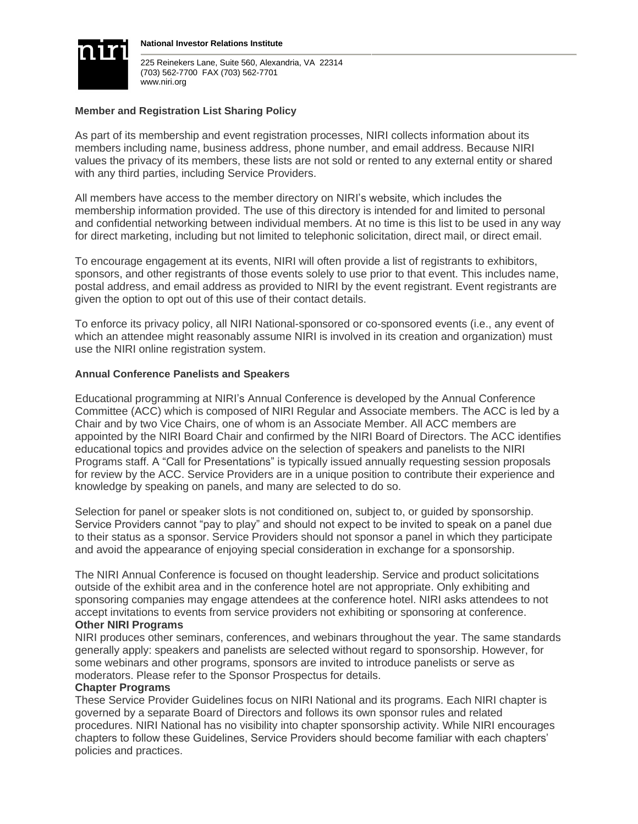

**National Investor Relations Institute**

225 Reinekers Lane, Suite 560, Alexandria, VA 22314 (703) 562-7700 FAX (703) 562-7701 www.niri.org

#### **Member and Registration List Sharing Policy**

As part of its membership and event registration processes, NIRI collects information about its members including name, business address, phone number, and email address. Because NIRI values the privacy of its members, these lists are not sold or rented to any external entity or shared with any third parties, including Service Providers.

All members have access to the member directory on NIRI's website, which includes the membership information provided. The use of this directory is intended for and limited to personal and confidential networking between individual members. At no time is this list to be used in any way for direct marketing, including but not limited to telephonic solicitation, direct mail, or direct email.

To encourage engagement at its events, NIRI will often provide a list of registrants to exhibitors, sponsors, and other registrants of those events solely to use prior to that event. This includes name, postal address, and email address as provided to NIRI by the event registrant. Event registrants are given the option to opt out of this use of their contact details.

To enforce its privacy policy, all NIRI National-sponsored or co-sponsored events (i.e., any event of which an attendee might reasonably assume NIRI is involved in its creation and organization) must use the NIRI online registration system.

#### **Annual Conference Panelists and Speakers**

Educational programming at NIRI's Annual Conference is developed by the Annual Conference Committee (ACC) which is composed of NIRI Regular and Associate members. The ACC is led by a Chair and by two Vice Chairs, one of whom is an Associate Member. All ACC members are appointed by the NIRI Board Chair and confirmed by the NIRI Board of Directors. The ACC identifies educational topics and provides advice on the selection of speakers and panelists to the NIRI Programs staff. A "Call for Presentations" is typically issued annually requesting session proposals for review by the ACC. Service Providers are in a unique position to contribute their experience and knowledge by speaking on panels, and many are selected to do so.

Selection for panel or speaker slots is not conditioned on, subject to, or guided by sponsorship. Service Providers cannot "pay to play" and should not expect to be invited to speak on a panel due to their status as a sponsor. Service Providers should not sponsor a panel in which they participate and avoid the appearance of enjoying special consideration in exchange for a sponsorship.

The NIRI Annual Conference is focused on thought leadership. Service and product solicitations outside of the exhibit area and in the conference hotel are not appropriate. Only exhibiting and sponsoring companies may engage attendees at the conference hotel. NIRI asks attendees to not accept invitations to events from service providers not exhibiting or sponsoring at conference. **Other NIRI Programs**

NIRI produces other seminars, conferences, and webinars throughout the year. The same standards generally apply: speakers and panelists are selected without regard to sponsorship. However, for some webinars and other programs, sponsors are invited to introduce panelists or serve as moderators. Please refer to the Sponsor Prospectus for details.

#### **Chapter Programs**

These Service Provider Guidelines focus on NIRI National and its programs. Each NIRI chapter is governed by a separate Board of Directors and follows its own sponsor rules and related procedures. NIRI National has no visibility into chapter sponsorship activity. While NIRI encourages chapters to follow these Guidelines, Service Providers should become familiar with each chapters' policies and practices.